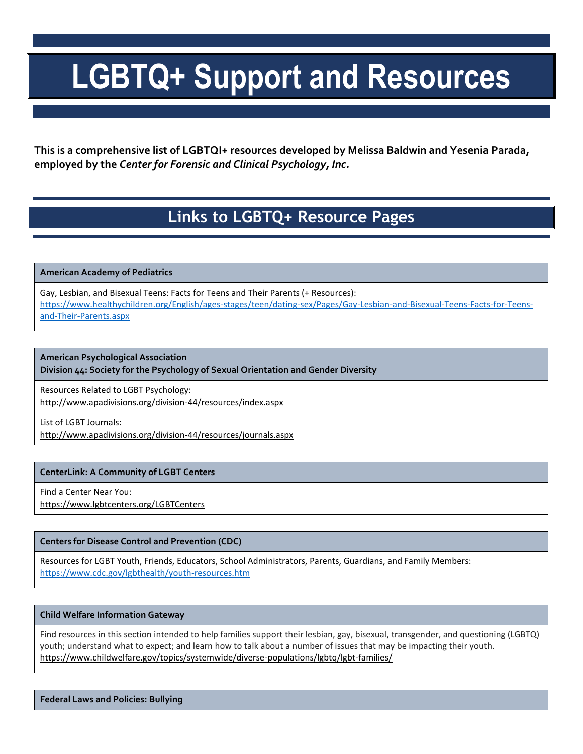# **LGBTQ+ Support and Resources**

**This is a comprehensive list of LGBTQI+ resources developed by Melissa Baldwin and Yesenia Parada, employed by the** *Center for Forensic and Clinical Psychology, Inc.*

# **Links to LGBTQ+ Resource Pages**

**American Academy of Pediatrics** 

Gay, Lesbian, and Bisexual Teens: Facts for Teens and Their Parents (+ Resources): [https://www.healthychildren.org/English/ages-stages/teen/dating-sex/Pages/Gay-Lesbian-and-Bisexual-Teens-Facts-for-Teens](https://www.healthychildren.org/English/ages-stages/teen/dating-sex/Pages/Gay-Lesbian-and-Bisexual-Teens-Facts-for-Teens-and-Their-Parents.aspx)[and-Their-Parents.aspx](https://www.healthychildren.org/English/ages-stages/teen/dating-sex/Pages/Gay-Lesbian-and-Bisexual-Teens-Facts-for-Teens-and-Their-Parents.aspx)

**American Psychological Association**

**Division 44: Society for the Psychology of Sexual Orientation and Gender Diversity**

Resources Related to LGBT Psychology: <http://www.apadivisions.org/division-44/resources/index.aspx>

List of LGBT Journals:

<http://www.apadivisions.org/division-44/resources/journals.aspx>

# **CenterLink: A Community of LGBT Centers**

Find a Center Near You:

<https://www.lgbtcenters.org/LGBTCenters>

### **Centers for Disease Control and Prevention (CDC)**

Resources for LGBT Youth, Friends, Educators, School Administrators, Parents, Guardians, and Family Members: <https://www.cdc.gov/lgbthealth/youth-resources.htm>

### **Child Welfare Information Gateway**

Find resources in this section intended to help families support their lesbian, gay, bisexual, transgender, and questioning (LGBTQ) youth; understand what to expect; and learn how to talk about a number of issues that may be impacting their youth. https://www.childwelfare.gov/topics/systemwide/diverse-populations/lgbtq/lgbt-families/

**Federal Laws and Policies: Bullying**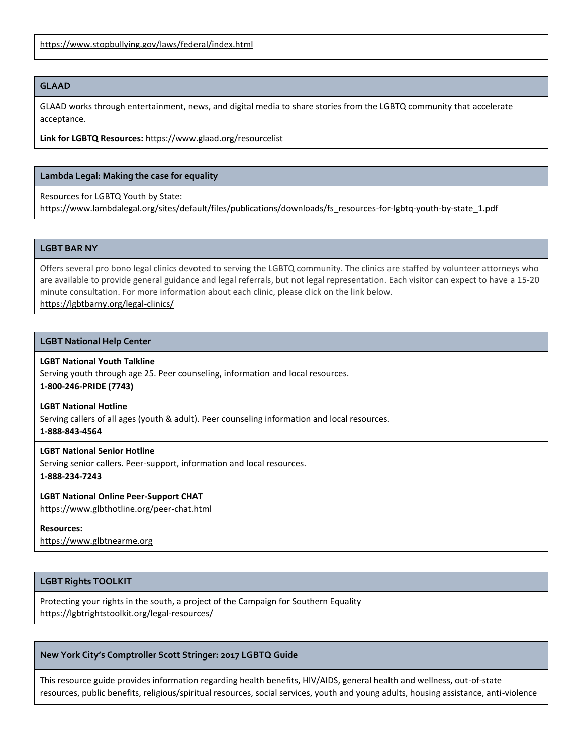<https://www.stopbullying.gov/laws/federal/index.html>

### **GLAAD**

GLAAD works through entertainment, news, and digital media to share stories from the LGBTQ community that accelerate acceptance.

### **Link for LGBTQ Resources:** <https://www.glaad.org/resourcelist>

# **Lambda Legal: Making the case for equality**

Resources for LGBTQ Youth by State:

[https://www.lambdalegal.org/sites/default/files/publications/downloads/fs\\_resources-for-lgbtq-youth-by-state\\_1.pdf](https://www.lambdalegal.org/sites/default/files/publications/downloads/fs_resources-for-lgbtq-youth-by-state_1.pdf)

### **LGBT BAR NY**

Offers several pro bono legal clinics devoted to serving the LGBTQ community. The clinics are staffed by volunteer attorneys who are available to provide general guidance and legal referrals, but not legal representation. Each visitor can expect to have a 15-20 minute consultation. For more information about each clinic, please click on the link below. https://lgbtbarny.org/legal-clinics/

### **LGBT National Help Center**

### **LGBT National Youth Talkline**

Serving youth through age 25. Peer counseling, information and local resources. **1-800-246-PRIDE (7743)**

### **LGBT National Hotline**

Serving callers of all ages (youth & adult). Peer counseling information and local resources.

**1-888-843-4564**

# **LGBT National Senior Hotline**

Serving senior callers. Peer-support, information and local resources. **1-888-234-7243**

# **LGBT National Online Peer-Support CHAT**

<https://www.glbthotline.org/peer-chat.html>

### **Resources:**

[https://www.glbtnearme.org](https://www.glbtnearme.org/)

# **LGBT Rights TOOLKIT**

Protecting your rights in the south, a project of the Campaign for Southern Equality https://lgbtrightstoolkit.org/legal-resources/

### **New York City's Comptroller Scott Stringer: 2017 LGBTQ Guide**

This resource guide provides information regarding health benefits, HIV/AIDS, general health and wellness, out-of-state resources, public benefits, religious/spiritual resources, social services, youth and young adults, housing assistance, anti-violence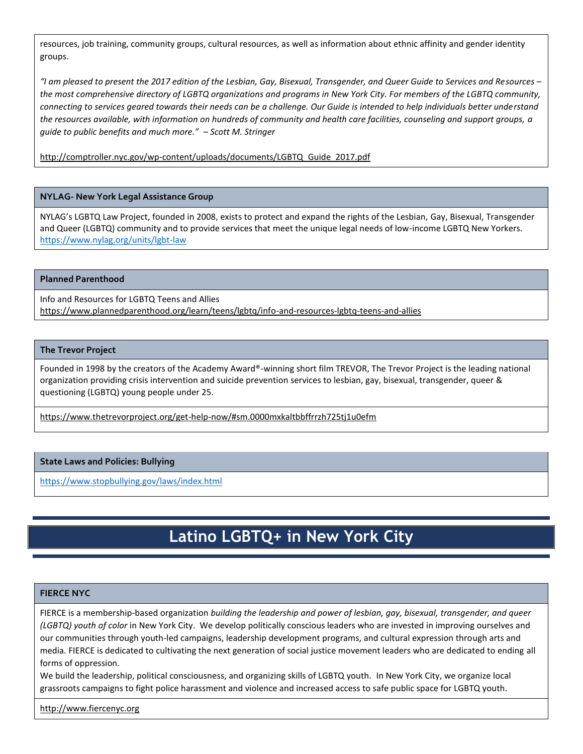resources, job training, community groups, cultural resources, as well as information about ethnic affinity and gender identity groups.

*"I am pleased to present the 2017 edition of the Lesbian, Gay, Bisexual, Transgender, and Queer Guide to Services and Resources – the most comprehensive directory of LGBTQ organizations and programs in New York City. For members of the LGBTQ community, connecting to services geared towards their needs can be a challenge. Our Guide is intended to help individuals better understand the resources available, with information on hundreds of community and health care facilities, counseling and support groups, a guide to public benefits and much more." – Scott M. Stringer*

[http://comptroller.nyc.gov/wp-content/uploads/documents/LGBTQ\\_Guide\\_2017.pdf](http://comptroller.nyc.gov/wp-content/uploads/documents/LGBTQ_Guide_2017.pdf)

### **NYLAG- New York Legal Assistance Group**

NYLAG's LGBTQ Law Project, founded in 2008, exists to protect and expand the rights of the Lesbian, Gay, Bisexual, Transgender and Queer (LGBTQ) community and to provide services that meet the unique legal needs of low-income LGBTQ New Yorkers. <https://www.nylag.org/units/lgbt-law>

### **Planned Parenthood**

Info and Resources for LGBTQ Teens and Allies https://www.plannedparenthood.org/learn/teens/lgbtq/info-and-resources-lgbtq-teens-and-allies

### **The Trevor Project**

Founded in 1998 by the creators of the Academy Award®-winning short film TREVOR, The Trevor Project is the leading national organization providing crisis intervention and suicide prevention services to lesbian, gay, bisexual, transgender, queer & questioning (LGBTQ) young people under 25.

<https://www.thetrevorproject.org/get-help-now/#sm.0000mxkaltbbffrrzh725tj1u0efm>

### **State Laws and Policies: Bullying**

<https://www.stopbullying.gov/laws/index.html>

# **Latino LGBTQ+ in New York City**

# **FIERCE NYC**

FIERCE is a membership-based organization *building the leadership and power of lesbian, gay, bisexual, transgender, and queer (LGBTQ) youth of color* in New York City. We develop politically conscious leaders who are invested in improving ourselves and our communities through youth-led campaigns, leadership development programs, and cultural expression through arts and media. FIERCE is dedicated to cultivating the next generation of social justice movement leaders who are dedicated to ending all forms of oppression.

We build the leadership, political consciousness, and organizing skills of LGBTQ youth. In New York City, we organize local grassroots campaigns to fight police harassment and violence and increased access to safe public space for LGBTQ youth.

[http://www.fiercenyc.org](http://www.fiercenyc.org/)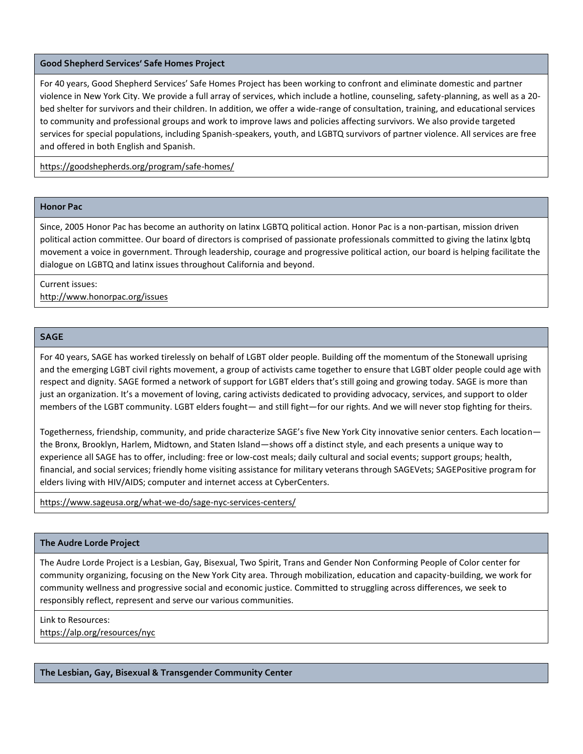### **Good Shepherd Services' Safe Homes Project**

For 40 years, Good Shepherd Services' Safe Homes Project has been working to confront and eliminate domestic and partner violence in New York City. We provide a full array of services, which include a hotline, counseling, safety-planning, as well as a 20 bed shelter for survivors and their children. In addition, we offer a wide-range of consultation, training, and educational services to community and professional groups and work to improve laws and policies affecting survivors. We also provide targeted services for special populations, including Spanish-speakers, youth, and LGBTQ survivors of partner violence. All services are free and offered in both English and Spanish.

<https://goodshepherds.org/program/safe-homes/>

### **Honor Pac**

Since, 2005 Honor Pac has become an authority on latinx LGBTQ political action. Honor Pac is a non-partisan, mission driven political action committee. Our board of directors is comprised of passionate professionals committed to giving the latinx lgbtq movement a voice in government. Through leadership, courage and progressive political action, our board is helping facilitate the dialogue on LGBTQ and latinx issues throughout California and beyond.

# Current issues: <http://www.honorpac.org/issues>

## **SAGE**

For 40 years, SAGE has worked tirelessly on behalf of LGBT older people. Building off the momentum of the Stonewall uprising and the emerging LGBT civil rights movement, a group of activists came together to ensure that LGBT older people could age with respect and dignity. SAGE formed a network of support for LGBT elders that's still going and growing today. SAGE is more than just an organization. It's a movement of loving, caring activists dedicated to providing advocacy, services, and support to older members of the LGBT community. LGBT elders fought— and still fight—for our rights. And we will never stop fighting for theirs.

Togetherness, friendship, community, and pride characterize SAGE's five New York City innovative senior centers. Each location the Bronx, Brooklyn, Harlem, Midtown, and Staten Island—shows off a distinct style, and each presents a unique way to experience all SAGE has to offer, including: free or low-cost meals; daily cultural and social events; support groups; health, financial, and social services; friendly home visiting assistance for military veterans through SAGEVets; SAGEPositive program for elders living with HIV/AIDS; computer and internet access at CyberCenters.

### <https://www.sageusa.org/what-we-do/sage-nyc-services-centers/>

### **The Audre Lorde Project**

The Audre Lorde Project is a Lesbian, Gay, Bisexual, Two Spirit, Trans and Gender Non Conforming People of Color center for community organizing, focusing on the New York City area. Through mobilization, education and capacity-building, we work for community wellness and progressive social and economic justice. Committed to struggling across differences, we seek to responsibly reflect, represent and serve our various communities.

#### Link to Resources:

<https://alp.org/resources/nyc>

**The Lesbian, Gay, Bisexual & Transgender Community Center**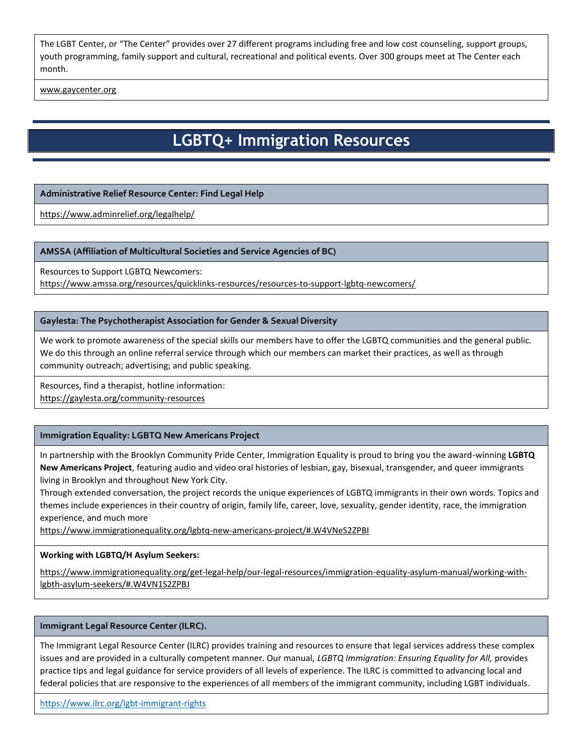The LGBT Center, or "The Center" provides over 27 different programs including free and low cost counseling, support groups, youth programming, family support and cultural, recreational and political events. Over 300 groups meet at The Center each month.

[www.gaycenter.org](http://www.gaycenter.org/)

# **LGBTQ+ Immigration Resources**

# **Administrative Relief Resource Center: Find Legal Help**

<https://www.adminrelief.org/legalhelp/>

### **AMSSA (Affiliation of Multicultural Societies and Service Agencies of BC)**

Resources to Support LGBTQ Newcomers:

<https://www.amssa.org/resources/quicklinks-resources/resources-to-support-lgbtq-newcomers/>

### **Gaylesta: The Psychotherapist Association for Gender & Sexual Diversity**

We work to promote awareness of the special skills our members have to offer the LGBTQ communities and the general public. We do this through an online referral service through which our members can market their practices, as well as through community outreach; advertising; and public speaking.

Resources, find a therapist, hotline information: <https://gaylesta.org/community-resources>

# **Immigration Equality: LGBTQ New Americans Project**

In partnership with the Brooklyn Community Pride Center, Immigration Equality is proud to bring you the award-winning **LGBTQ New Americans Project**, featuring audio and video oral histories of lesbian, gay, bisexual, transgender, and queer immigrants living in Brooklyn and throughout New York City.

Through extended conversation, the project records the unique experiences of LGBTQ immigrants in their own words. Topics and themes include experiences in their country of origin, family life, career, love, sexuality, gender identity, race, the immigration experience, and much more

<https://www.immigrationequality.org/lgbtq-new-americans-project/#.W4VNeS2ZPBI>

### **Working with LGBTQ/H Asylum Seekers:**

[https://www.immigrationequality.org/get-legal-help/our-legal-resources/immigration-equality-asylum-manual/working-with](https://www.immigrationequality.org/get-legal-help/our-legal-resources/immigration-equality-asylum-manual/working-with-lgbth-asylum-seekers/#.W4VN1S2ZPBJ)[lgbth-asylum-seekers/#.W4VN1S2ZPBJ](https://www.immigrationequality.org/get-legal-help/our-legal-resources/immigration-equality-asylum-manual/working-with-lgbth-asylum-seekers/#.W4VN1S2ZPBJ)

### **Immigrant Legal Resource Center (ILRC).**

The Immigrant Legal Resource Center (ILRC) provides training and resources to ensure that legal services address these complex issues and are provided in a culturally competent manner. Our manual, *LGBTQ Immigration: Ensuring Equality for All,* provides practice tips and legal guidance for service providers of all levels of experience. The ILRC is committed to advancing local and federal policies that are responsive to the experiences of all members of the immigrant community, including LGBT individuals.

<https://www.ilrc.org/lgbt-immigrant-rights>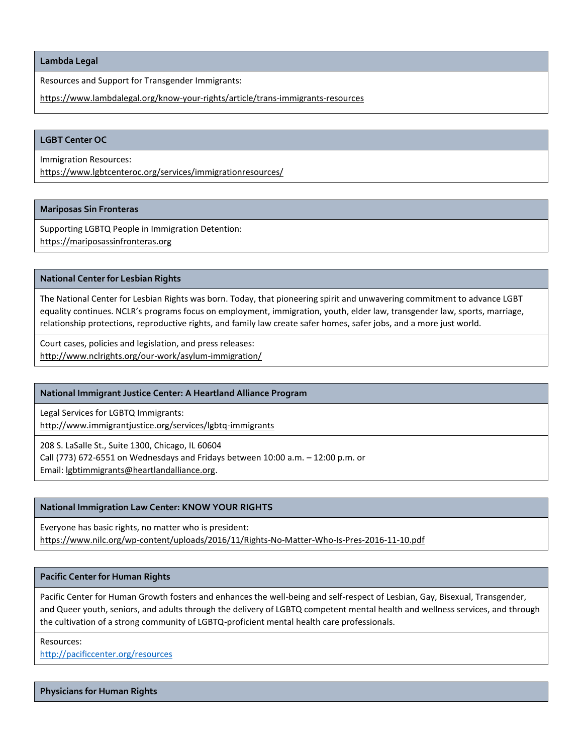**Lambda Legal**

Resources and Support for Transgender Immigrants:

<https://www.lambdalegal.org/know-your-rights/article/trans-immigrants-resources>

### **LGBT Center OC**

Immigration Resources:

<https://www.lgbtcenteroc.org/services/immigrationresources/>

### **Mariposas Sin Fronteras**

Supporting LGBTQ People in Immigration Detention: [https://mariposassinfronteras.org](https://mariposassinfronteras.org/)

### **National Center for Lesbian Rights**

The National Center for Lesbian Rights was born. Today, that pioneering spirit and unwavering commitment to advance LGBT equality continues. NCLR's programs focus on employment, immigration, youth, elder law, transgender law, sports, marriage, relationship protections, reproductive rights, and family law create safer homes, safer jobs, and a more just world.

Court cases, policies and legislation, and press releases: <http://www.nclrights.org/our-work/asylum-immigration/>

### **National Immigrant Justice Center: A Heartland Alliance Program**

Legal Services for LGBTQ Immigrants: <http://www.immigrantjustice.org/services/lgbtq-immigrants>

208 S. LaSalle St., Suite 1300, Chicago, IL 60604 Call (773) 672-6551 on Wednesdays and Fridays between 10:00 a.m. – 12:00 p.m. or Email: [lgbtimmigrants@heartlandalliance.org.](mailto:lgbtimmigrants@heartlandalliance.org)

### **National Immigration Law Center: KNOW YOUR RIGHTS**

Everyone has basic rights, no matter who is president: <https://www.nilc.org/wp-content/uploads/2016/11/Rights-No-Matter-Who-Is-Pres-2016-11-10.pdf>

### **Pacific Center for Human Rights**

Pacific Center for Human Growth fosters and enhances the well-being and self-respect of Lesbian, Gay, Bisexual, Transgender, and Queer youth, seniors, and adults through the delivery of LGBTQ competent mental health and wellness services, and through the cultivation of a strong community of LGBTQ-proficient mental health care professionals.

Resources: <http://pacificcenter.org/resources>

**Physicians for Human Rights**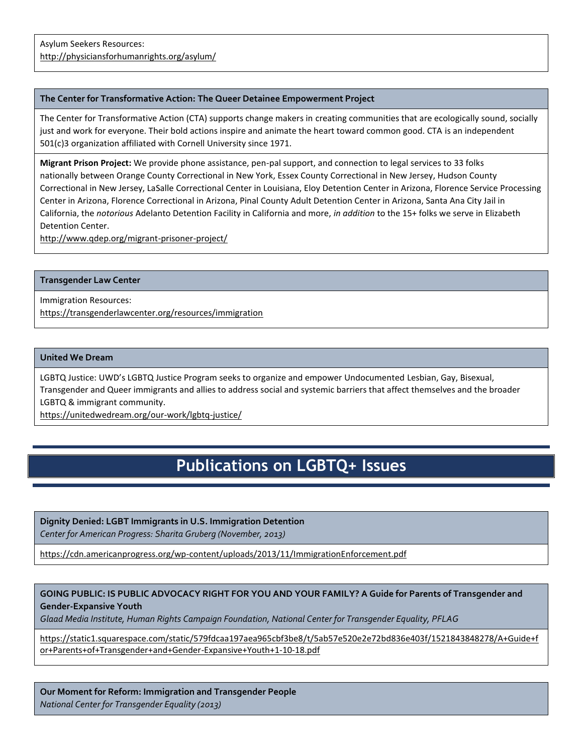### **The Center for Transformative Action: The Queer Detainee Empowerment Project**

The Center for Transformative Action (CTA) supports change makers in creating communities that are ecologically sound, socially just and work for everyone. Their bold actions inspire and animate the heart toward common good. CTA is an independent 501(c)3 organization affiliated with Cornell University since 1971.

**Migrant Prison Project:** We provide phone assistance, pen-pal support, and connection to legal services to 33 folks nationally between Orange County Correctional in New York, Essex County Correctional in New Jersey, Hudson County Correctional in New Jersey, LaSalle Correctional Center in Louisiana, Eloy Detention Center in Arizona, Florence Service Processing Center in Arizona, Florence Correctional in Arizona, Pinal County Adult Detention Center in Arizona, Santa Ana City Jail in California, the *notorious* Adelanto Detention Facility in California and more, *in addition* to the 15+ folks we serve in Elizabeth Detention Center.

<http://www.qdep.org/migrant-prisoner-project/>

### **Transgender Law Center**

Immigration Resources: <https://transgenderlawcenter.org/resources/immigration>

### **United We Dream**

LGBTQ Justice: UWD's LGBTQ Justice Program seeks to organize and empower Undocumented Lesbian, Gay, Bisexual, Transgender and Queer immigrants and allies to address social and systemic barriers that affect themselves and the broader LGBTQ & immigrant community.

<https://unitedwedream.org/our-work/lgbtq-justice/>

# **Publications on LGBTQ+ Issues**

### **Dignity Denied: LGBT Immigrants in U.S. Immigration Detention**

*Center for American Progress: Sharita Gruberg (November, 2013)*

<https://cdn.americanprogress.org/wp-content/uploads/2013/11/ImmigrationEnforcement.pdf>

# **GOING PUBLIC: IS PUBLIC ADVOCACY RIGHT FOR YOU AND YOUR FAMILY? A Guide for Parents of Transgender and Gender-Expansive Youth**

*Glaad Media Institute, Human Rights Campaign Foundation, National Center for Transgender Equality, PFLAG* 

[https://static1.squarespace.com/static/579fdcaa197aea965cbf3be8/t/5ab57e520e2e72bd836e403f/1521843848278/A+Guide+f](https://static1.squarespace.com/static/579fdcaa197aea965cbf3be8/t/5ab57e520e2e72bd836e403f/1521843848278/A+Guide+for+Parents+of+Transgender+and+Gender-Expansive+Youth+1-10-18.pdf) [or+Parents+of+Transgender+and+Gender-Expansive+Youth+1-10-18.pdf](https://static1.squarespace.com/static/579fdcaa197aea965cbf3be8/t/5ab57e520e2e72bd836e403f/1521843848278/A+Guide+for+Parents+of+Transgender+and+Gender-Expansive+Youth+1-10-18.pdf)

**Our Moment for Reform: Immigration and Transgender People** *National Center for Transgender Equality (2013)*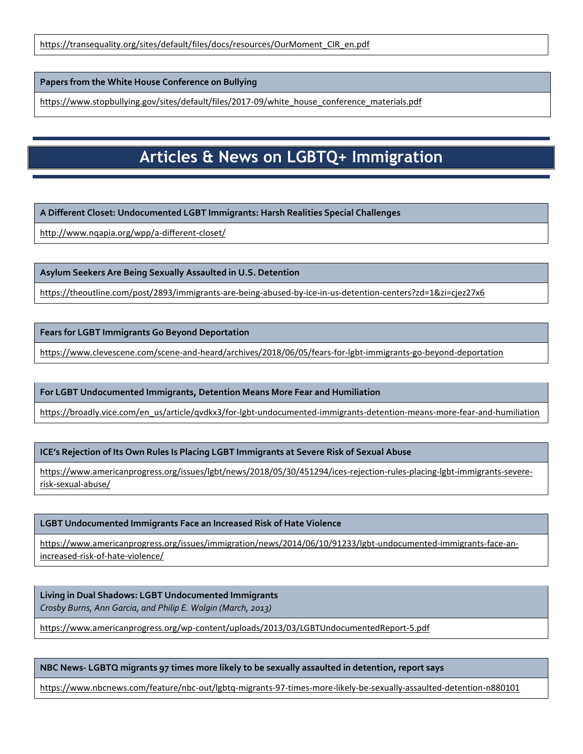[https://transequality.org/sites/default/files/docs/resources/OurMoment\\_CIR\\_en.pdf](https://transequality.org/sites/default/files/docs/resources/OurMoment_CIR_en.pdf)

**Papers from the White House Conference on Bullying**

[https://www.stopbullying.gov/sites/default/files/2017-09/white\\_house\\_conference\\_materials.pdf](https://www.stopbullying.gov/sites/default/files/2017-09/white_house_conference_materials.pdf)

# **Articles & News on LGBTQ+ Immigration**

**A Different Closet: Undocumented LGBT Immigrants: Harsh Realities Special Challenges**

<http://www.nqapia.org/wpp/a-different-closet/>

**Asylum Seekers Are Being Sexually Assaulted in U.S. Detention** 

<https://theoutline.com/post/2893/immigrants-are-being-abused-by-ice-in-us-detention-centers?zd=1&zi=cjez27x6>

**Fears for LGBT Immigrants Go Beyond Deportation**

<https://www.clevescene.com/scene-and-heard/archives/2018/06/05/fears-for-lgbt-immigrants-go-beyond-deportation>

**For LGBT Undocumented Immigrants, Detention Means More Fear and Humiliation**

[https://broadly.vice.com/en\\_us/article/qvdkx3/for-lgbt-undocumented-immigrants-detention-means-more-fear-and-humiliation](https://broadly.vice.com/en_us/article/qvdkx3/for-lgbt-undocumented-immigrants-detention-means-more-fear-and-humiliation)

**ICE's Rejection of Its Own Rules Is Placing LGBT Immigrants at Severe Risk of Sexual Abuse**

[https://www.americanprogress.org/issues/lgbt/news/2018/05/30/451294/ices-rejection-rules-placing-lgbt-immigrants-severe](https://www.americanprogress.org/issues/lgbt/news/2018/05/30/451294/ices-rejection-rules-placing-lgbt-immigrants-severe-risk-sexual-abuse/)[risk-sexual-abuse/](https://www.americanprogress.org/issues/lgbt/news/2018/05/30/451294/ices-rejection-rules-placing-lgbt-immigrants-severe-risk-sexual-abuse/)

**LGBT Undocumented Immigrants Face an Increased Risk of Hate Violence**

[https://www.americanprogress.org/issues/immigration/news/2014/06/10/91233/lgbt-undocumented-immigrants-face-an](https://www.americanprogress.org/issues/immigration/news/2014/06/10/91233/lgbt-undocumented-immigrants-face-an-increased-risk-of-hate-violence/)[increased-risk-of-hate-violence/](https://www.americanprogress.org/issues/immigration/news/2014/06/10/91233/lgbt-undocumented-immigrants-face-an-increased-risk-of-hate-violence/)

**Living in Dual Shadows: LGBT Undocumented Immigrants** *Crosby Burns, Ann Garcia, and Philip E. Wolgin (March, 2013)*

<https://www.americanprogress.org/wp-content/uploads/2013/03/LGBTUndocumentedReport-5.pdf>

# **NBC News- LGBTQ migrants 97 times more likely to be sexually assaulted in detention, report says**

<https://www.nbcnews.com/feature/nbc-out/lgbtq-migrants-97-times-more-likely-be-sexually-assaulted-detention-n880101>